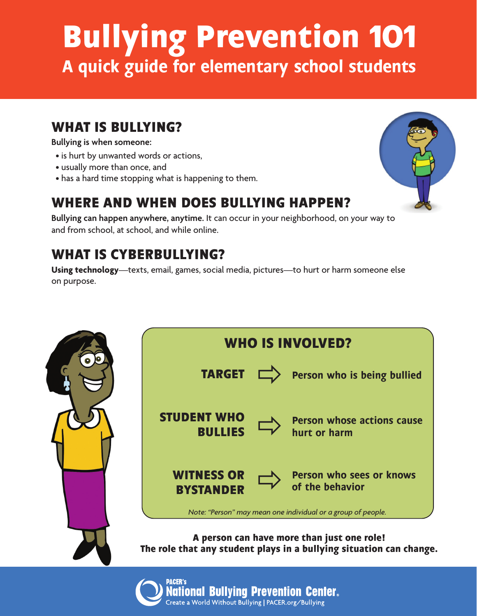# **Bullying Prevention 101** A quick guide for elementary school students

## **WHAT IS BULLYING?**

#### **Bullying is when someone:**

- is hurt by unwanted words or actions,
- usually more than once, and
- has a hard time stopping what is happening to them.

## **WHERE AND WHEN DOES BULLYING HAPPEN?**

**Bullying can happen anywhere, anytime.** It can occur in your neighborhood, on your way to and from school, at school, and while online.

# **WHAT IS CYBERBULLYING?**

**Using technology**—texts, email, games, social media, pictures—to hurt or harm someone else on purpose.